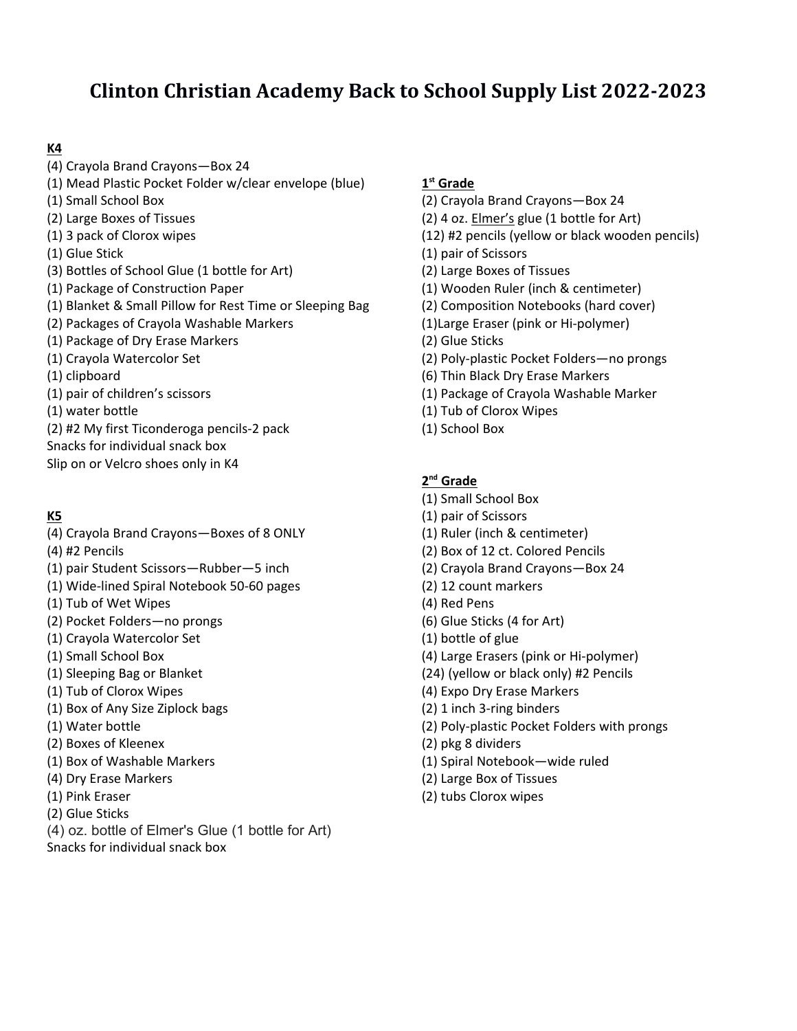# **Clinton Christian Academy Back to School Supply List 2022‐2023**

## **K4**

- (4) Crayola Brand Crayons—Box 24
- (1) Mead Plastic Pocket Folder w/clear envelope (blue)
- (1) Small School Box
- (2) Large Boxes of Tissues
- (1) 3 pack of Clorox wipes
- (1) Glue Stick
- (3) Bottles of School Glue (1 bottle for Art)
- (1) Package of Construction Paper
- (1) Blanket & Small Pillow for Rest Time or Sleeping Bag
- (2) Packages of Crayola Washable Markers
- (1) Package of Dry Erase Markers
- (1) Crayola Watercolor Set
- (1) clipboard
- (1) pair of children's scissors
- (1) water bottle
- (2) #2 My first Ticonderoga pencils‐2 pack
- Snacks for individual snack box
- Slip on or Velcro shoes only in K4

## **K5**

- (4) Crayola Brand Crayons—Boxes of 8 ONLY
- (4) #2 Pencils
- (1) pair Student Scissors—Rubber—5 inch
- (1) Wide‐lined Spiral Notebook 50‐60 pages
- (1) Tub of Wet Wipes
- (2) Pocket Folders—no prongs
- (1) Crayola Watercolor Set
- (1) Small School Box
- (1) Sleeping Bag or Blanket
- (1) Tub of Clorox Wipes
- (1) Box of Any Size Ziplock bags
- (1) Water bottle
- (2) Boxes of Kleenex
- (1) Box of Washable Markers
- (4) Dry Erase Markers
- (1) Pink Eraser
- (2) Glue Sticks
- (4) oz. bottle of Elmer's Glue (1 bottle for Art)
- Snacks for individual snack box

## **1st Grade**

- (2) Crayola Brand Crayons—Box 24
- (2) 4 oz. Elmer's glue (1 bottle for Art)
- (12) #2 pencils (yellow or black wooden pencils)
- (1) pair of Scissors
- (2) Large Boxes of Tissues
- (1) Wooden Ruler (inch & centimeter)
- (2) Composition Notebooks (hard cover)
- (1)Large Eraser (pink or Hi‐polymer)
- (2) Glue Sticks
- (2) Poly‐plastic Pocket Folders—no prongs
- (6) Thin Black Dry Erase Markers
- (1) Package of Crayola Washable Marker
- (1) Tub of Clorox Wipes
- (1) School Box

## **2nd Grade**

- (1) Small School Box
- (1) pair of Scissors
- (1) Ruler (inch & centimeter)
- (2) Box of 12 ct. Colored Pencils
- (2) Crayola Brand Crayons—Box 24
- (2) 12 count markers
- (4) Red Pens
- (6) Glue Sticks (4 for Art)
- (1) bottle of glue
- (4) Large Erasers (pink or Hi‐polymer)
- (24) (yellow or black only) #2 Pencils
- (4) Expo Dry Erase Markers
- (2) 1 inch 3‐ring binders
- (2) Poly‐plastic Pocket Folders with prongs
- (2) pkg 8 dividers
- (1) Spiral Notebook—wide ruled
- (2) Large Box of Tissues
- (2) tubs Clorox wipes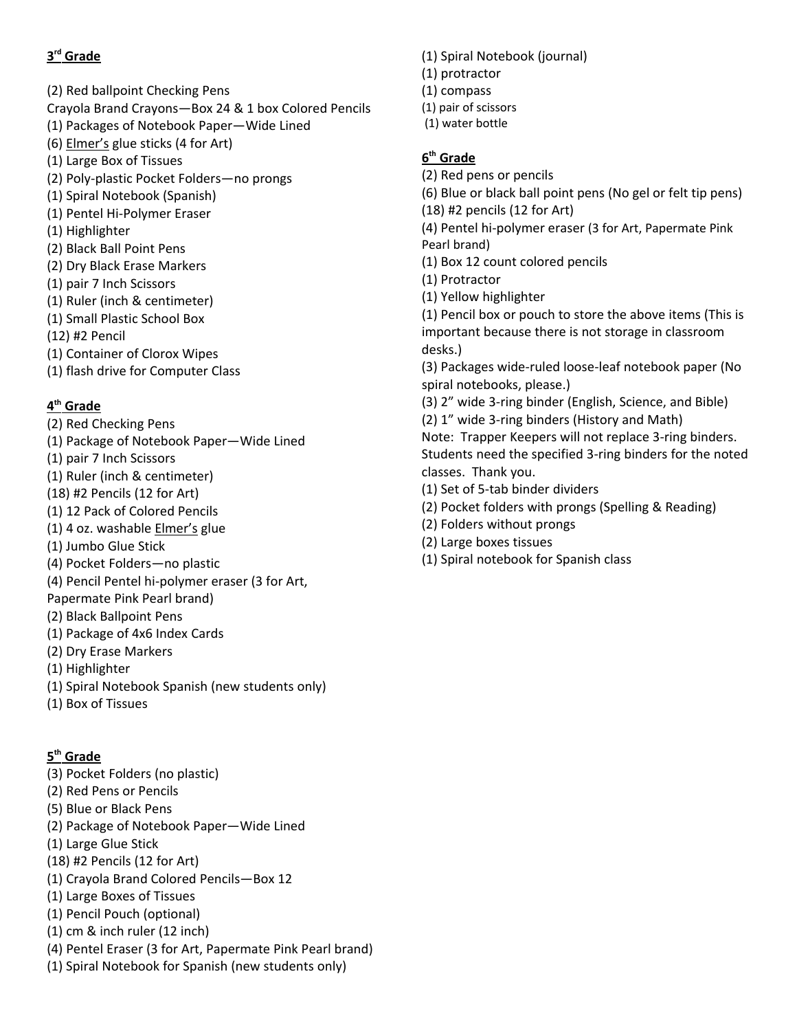## **3rd Grade**

- (2) Red ballpoint Checking Pens Crayola Brand Crayons—Box 24 & 1 box Colored Pencils (1) Packages of Notebook Paper—Wide Lined (6) Elmer's glue sticks (4 for Art) (1) Large Box of Tissues (2) Poly‐plastic Pocket Folders—no prongs (1) Spiral Notebook (Spanish) (1) Pentel Hi‐Polymer Eraser (1) Highlighter (2) Black Ball Point Pens (2) Dry Black Erase Markers (1) pair 7 Inch Scissors
- (1) Ruler (inch & centimeter)
- (1) Small Plastic School Box
- (12) #2 Pencil
- (1) Container of Clorox Wipes
- (1) flash drive for Computer Class

#### **4th Grade**

- (2) Red Checking Pens
- (1) Package of Notebook Paper—Wide Lined
- (1) pair 7 Inch Scissors
- (1) Ruler (inch & centimeter)
- (18) #2 Pencils (12 for Art)
- (1) 12 Pack of Colored Pencils
- (1) 4 oz. washable Elmer's glue
- (1) Jumbo Glue Stick
- (4) Pocket Folders—no plastic
- (4) Pencil Pentel hi‐polymer eraser (3 for Art,
- Papermate Pink Pearl brand)
- (2) Black Ballpoint Pens
- (1) Package of 4x6 Index Cards
- (2) Dry Erase Markers
- (1) Highlighter
- (1) Spiral Notebook Spanish (new students only)
- (1) Box of Tissues

#### **5th Grade**

- (3) Pocket Folders (no plastic)
- (2) Red Pens or Pencils
- (5) Blue or Black Pens
- (2) Package of Notebook Paper—Wide Lined
- (1) Large Glue Stick
- (18) #2 Pencils (12 for Art)
- (1) Crayola Brand Colored Pencils—Box 12
- (1) Large Boxes of Tissues
- (1) Pencil Pouch (optional)
- (1) cm & inch ruler (12 inch)
- (4) Pentel Eraser (3 for Art, Papermate Pink Pearl brand)
- (1) Spiral Notebook for Spanish (new students only)
- (1) Spiral Notebook (journal)
- (1) protractor
- (1) compass
- (1) pair of scissors
- (1) water bottle

## **6th Grade**

- (2) Red pens or pencils
- (6) Blue or black ball point pens (No gel or felt tip pens) (18) #2 pencils (12 for Art)
- (4) Pentel hi‐polymer eraser (3 for Art, Papermate Pink Pearl brand)
- (1) Box 12 count colored pencils
- (1) Protractor
- (1) Yellow highlighter

(1) Pencil box or pouch to store the above items (This is important because there is not storage in classroom desks.)

(3) Packages wide‐ruled loose‐leaf notebook paper (No spiral notebooks, please.)

- (3) 2" wide 3‐ring binder (English, Science, and Bible)
- (2) 1" wide 3‐ring binders (History and Math)

Note: Trapper Keepers will not replace 3‐ring binders. Students need the specified 3‐ring binders for the noted classes. Thank you.

- (1) Set of 5‐tab binder dividers
- (2) Pocket folders with prongs (Spelling & Reading)
- (2) Folders without prongs
- (2) Large boxes tissues
- (1) Spiral notebook for Spanish class